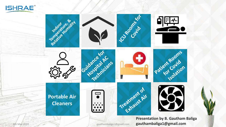

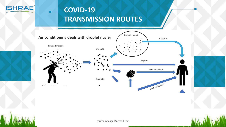

# **COVID-19 TRANSMISSION ROUTES**



gauthambaliga1@gmail.com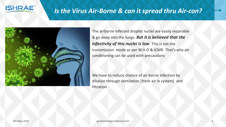

#### *Is the Virus Air-Borne & can it spread thru Air-con?*



The airborne infected droplet nuclei are easily respirable & go deep into the lungs. *But it is believed that the infectivity of this nuclei is low*. This is not the transmission mode as per W.H.O & ICMR. That's why airconditioning can be used with precautions

We have to reduce chance of air borne infection by dilution through ventilation [fresh air in system] and filtration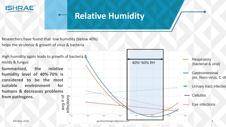

# **Relative Humidity**

Researchers have found that low humidity (below 40%) helps the virulence & growth of virus & bacteria.

High humidity again leads to growth of bacteria &

**Summarised, the relative humidity level of 40%-70% is considered to be the most suitable environment for humans & decreases problems from pathogens.** avg # of

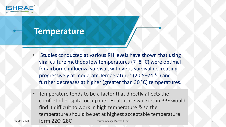

## **Temperature**

- Studies conducted at various RH levels have shown that using viral culture methods low temperatures (7–8 °C) were optimal for airborne influenza survival, with virus survival decreasing progressively at moderate Temperatures (20.5–24 °C) and further decreases at higher (greater than 30 °C) temperatures.
- 8th May 2020 **6 Form 22C~28C** gauthambaliga1@gmail.com **5**5 Temperature tends to be a factor that directly affects the comfort of hospital occupants. Healthcare workers in PPE would find it difficult to work in high temperature & so the temperature should be set at highest acceptable temperature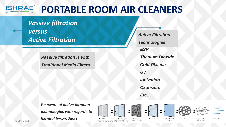#### **ISHRAE® PORTABLE ROOM AIR CLEANERS**

*Passive filtration* 

*versus Active Filtration*

> *Passive filtration is with Traditional Media Filters*

*ESP Titanium Dioxide Cold-Plasma UV Ionization Ozonizers Etc… Active Filtration Technologies*

*Be aware of active filtration technologies with regards to harmful by-products*  8th May 2020 **6** Fight 6 Generator 6 Generator 6 Generator 6 Generator 6 Generator 6 Generator 6 Generator 6 Generator 6 Generator 6 Generator 6 Generator 6 Generator 6 Generator 6 Generator 6 Generator 6 Generator 6 Gener





Hepa Filter

Ultra Vollet

Fan

Fresh All Negative lon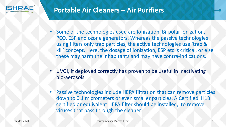

### **Portable Air Cleaners – Air Purifiers**

- Some of the technologies used are Ionization, Bi-polar ionization, PCO, ESP and ozone generators. Whereas the passive technologies using filters only trap particles, the active technologies use 'trap & kill' concept. Here, the dosage of ionization, ESP etc is critical, or else these may harm the inhabitants and may have contra-indications.
- UVGI, if deployed correctly has proven to be useful in inactivating bio-aerosols.
- Passive technologies include HEPA filtration that can remove particles down to 0.1 micrometers or even smaller particles. A Certified H13 certified or equivalent HEPA filter should be installed, to remove viruses that pass through the cleaner.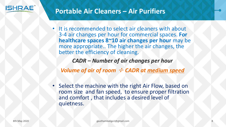

#### **Portable Air Cleaners – Air Purifiers**

It is recommended to select air cleaners with about 3-4 air changes per hour for commercial spaces. **For healthcare spaces 8~10 air changes per hour** may be more appropriate.. The higher the air changes, the better the efficiency of cleaning.

*CADR – Number of air changes per hour*

*Volume of air of room* <sup>÷</sup> *CADR at medium speed*

• Select the machine with the right Air Flow, based on room size and fan speed, to ensure proper filtration and comfort , that includes a desired level of quietness.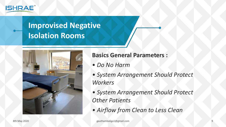

# **Improvised Negative Isolation Rooms**



#### **Basics General Parameters :**

- *Do No Harm*
- *System Arrangement Should Protect Workers*
- *System Arrangement Should Protect Other Patients*
- *Airflow from Clean to Less Clean*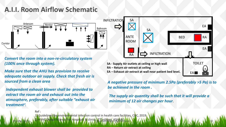#### **A.I.I. Room Airflow Schematic**



*Convert the room into a non-re-circulatory system (100% once through system).* 

*Make sure that the AHU has provision to receive adequate outdoor air supply. Check that fresh air is sourced from a clean area*

*Independent exhaust blower shall be provided to extract the room air and exhaust out into the atmosphere, preferably, after suitable "exhaust air treatment".* 



**EA – Exhaust air extract at wall near patient bed level.**

EA<sup>1</sup>

10

*A negative pressure of minimum 2.5Pa (preferably >5 Pa) is to be achieved in the room .* 

*The supply air quantity shall be such that it will provide a minimum of 12 air changes per hour*.

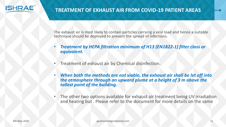

The exhaust air is most likely to contain particles carrying a viral load and hence a suitable technique should be deployed to prevent the spread of infections.

- *Treatment by HEPA filtration minimum of H13 (EN1822-1) filter class or equivalent.*
- Treatment of exhaust air by Chemical disinfection.
- *When both the methods are not viable, the exhaust air shall be let off into the atmosphere through an upward plume at a height of 3 m above the tallest point of the building.*
- The other two options available for exhaust air treatment being UV irradiation and heating but . Please refer to the document for more details on the same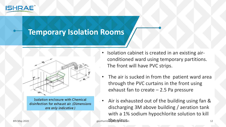

## **Temporary Isolation Rooms**



**Isolation enclosure with Chemical** disinfection for exhaust air. (Dimensions are only indicative)

- Isolation cabinet is created in an existing airconditioned ward using temporary partitions. The front will have PVC strips.
- The air is sucked in from the patient ward area through the PVC curtains in the front using exhaust fan to create – 2.5 Pa pressure
- Air is exhausted out of the building using fan & discharging 3M above building / aeration tank with a 1% sodium hypochlorite solution to kill  $\text{Bim}$  and  $\text{Bim}$  gauthambaligation  $\text{Bim}$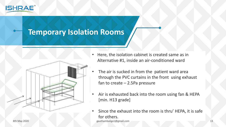

# **Temporary Isolation Rooms**



- Here, the isolation cabinet is created same as in Alternative #1, inside an air-conditioned ward
- The air is sucked in from the patient ward area through the PVC curtains in the front using exhaust fan to create – 2.5Pa pressure
- Air is exhausted back into the room using fan & HEPA [min. H13 grade]
- Since the exhaust into the room is thru' HEPA, it is safe for others. 8th May 2020 gauthambaliga1@gmail.com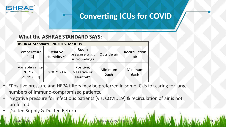

# **Converting ICUs for COVID**

14

#### **What the ASHRAE STANDARD SAYS:**

| <b>ASHRAE Standard 170-2015, for ICUs</b>        |                        |                                        |                 |                      |
|--------------------------------------------------|------------------------|----------------------------------------|-----------------|----------------------|
| Temperature<br>F <sub>[C]</sub>                  | Relative<br>Humidity % | Room<br>pressure w.r.t<br>surroundings | Outside air     | Recirculation<br>air |
| Variable range<br>70F~75F<br>$[21.1^{\sim}23.9]$ | $30\% \approx 60\%$    | Positive,<br>Negative or<br>Neutral*   | Minimum<br>2ach | Minimum<br>6ach      |

- \*Positive pressure and HEPA filters may be preferred in some ICUs for caring for large numbers of immuno-compromised patients.
- Negative pressure for infectious patients [viz. COVID19] & recirculation of air is not preferred

gauthambaliga1@gmail.com

• Ducted Supply & Ducted Return

8th May 2020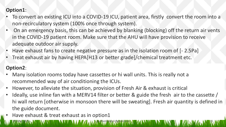#### **Option1**:

- To convert an existing ICU into a COVID-19 ICU, patient area, firstly convert the room into a non-recirculatory system (100% once through system).
- On an emergency basis, this can be achieved by blanking (blocking) off the return air vents in the COVID-19 patient room. Make sure that the AHU will have provision to receive adequate outdoor air supply.
- Have exhaust fans to create negative pressure as in the isolation room of [- 2.5Pa]
- Treat exhaust air by having HEPA[H13 or better grade]/chemical treatment etc.

#### **Option2**:

- Many isolation rooms today have cassettes or hi wall units. This is really not a recommended way of air conditioning the ICUs.
- However, to alleviate the situation, provision of Fresh Air & exhaust is critical
- Ideally, use inline fan with a MERV14 filter or better & guide the fresh air to the cassette / hi wall return [otherwise in monsoon there will be sweating]. Fresh air quantity is defined in the guide document.

8th May 2020 N.W. IN WILLIAM N.W. M.W. M.W. N.W. Ngauthambaliga1@gmail.com N.W. M. N.W. N.W. N.W. N.W. M.W. M.W. 15

gauthambaliga1@gmail.com

Have exhaust & treat exhaust as in option1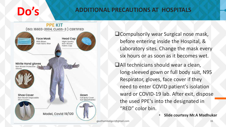# **Do's**

#### **ADDITIONAL PRECAUTIONS AT HOSPITALS**



- **QCompulsorily wear Surgical nose mask,** before entering inside the Hospital, & Laboratory sites. Change the mask every six hours or as soon as it becomes wet.
- **TAII technicians should wear a clean,** long-sleeved gown or full body suit, N95 Respirator, gloves, face cover if they need to enter COVID patient's isolation ward or COVID-19 lab. After exit, dispose the used PPE's into the designated in "RED" color bin.

• **Slide courtesy Mr.A Madhukar**

l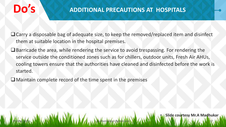# **Do's**

#### **ADDITIONAL PRECAUTIONS AT HOSPITALS**

- Carry a disposable bag of adequate size, to keep the removed/replaced item and disinfect them at suitable location in the hospital premises.
- $\Box$  Barricade the area, while rendering the service to avoid trespassing. For rendering the service outside the conditioned zones such as for chillers, outdoor units, Fresh Air AHUs, cooling towers ensure that the authorities have cleaned and disinfected before the work is started.

8th May 2020 N.W. IN UNKEN NAME AND A VISIT AND A Sauthambaliga 1@gmail.com N.W.M. NAME AND A SAN HALL AND A SAN HALL AND 17

gauthambaliga1@gmail.com

• **Slide courtesy Mr.A Madhukar**

 $\Box$  Maintain complete record of the time spent in the premises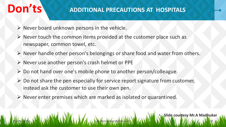# **Don'ts ADDITIONAL PRECAUTIONS AT HOSPITALS**

- $\triangleright$  Never board unknown persons in the vehicle.
- $\triangleright$  Never touch the common items provided at the customer place such as newspaper, common towel, etc.
- $\triangleright$  Never handle other person's belongings or share food and water from others.
- $\triangleright$  Never use another person's crash helmet or PPE
- $\triangleright$  Do not hand over one's mobile phone to another person/colleague.
- $\triangleright$  Do not share the pen especially for service report signature from customer, instead ask the customer to use their own pen.

8th May 2020 N.W. IN UNKEN NAME AND A VISIT AND A Sauthambaliga 1@gmail.com N.W.M. NAME AND A SAN NAME AND A SAN 18

gauthambaliga1@gmail.com

 $\triangleright$  Never enter premises which are marked as isolated or quarantined.

• **Slide courtesy Mr.A Madhukar**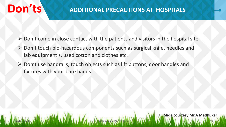# **Don'ts ADDITIONAL PRECAUTIONS AT HOSPITALS**

- $\triangleright$  Don't come in close contact with the patients and visitors in the hospital site.
- ▶ Don't touch bio-hazardous components such as surgical knife, needles and lab equipment's, used cotton and clothes etc.
- ▶ Don't use handrails, touch objects such as lift buttons, door handles and fixtures with your bare hands.

8th May 2020 N.W. IN UNKEN NAME AND A VISIT AND A Sauthambaliga 1@gmail.com N.W.M. NAME AND A SAN HALL AND A SAN 19

gauthambaliga1@gmail.com

• **Slide courtesy Mr.A Madhukar**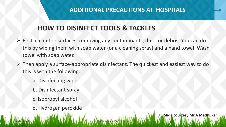#### **ADDITIONAL PRECAUTIONS AT HOSPITALS**

### **HOW TO DISINFECT TOOLS & TACKLES**

- First, clean the surfaces, removing any contaminants, dust, or debris. You can do this by wiping them with soap water (or a cleaning spray) and a hand towel. Wash towel with soap water.
- $\triangleright$  Then apply a surface-appropriate disinfectant. The quickest and easiest way to do this is with the following:

8th May 2020 N.W. IN UNKEN NAME AND A VISIT AND A Sauthambaliga 1@gmail.com N.W.M. NAME AND A SAN NAME AND A SAN 10

gauthambaliga1@gmail.com

• **Slide courtesy Mr.A Madhukar**

- a. Disinfecting wipes
- b. Disinfectant spray
- c. Isopropyl alcohol
- d. Hydrogen peroxide